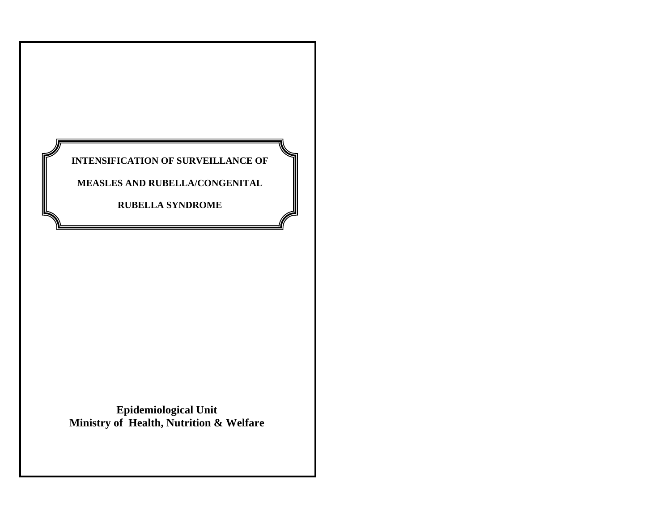

**Epidemiological Unit Ministry of Health, Nutrition & Welfare**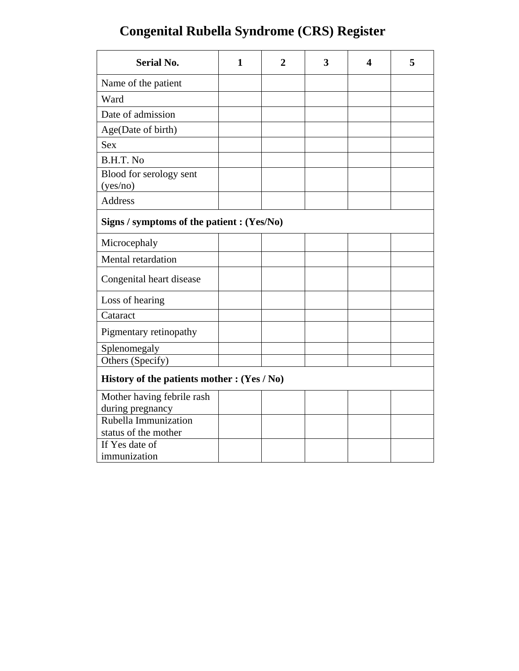<span id="page-1-0"></span>

| <b>Serial No.</b>                             | 1 | $\mathbf 2$ | 3 | 4 | 5 |
|-----------------------------------------------|---|-------------|---|---|---|
| Name of the patient                           |   |             |   |   |   |
| Ward                                          |   |             |   |   |   |
| Date of admission                             |   |             |   |   |   |
| Age(Date of birth)                            |   |             |   |   |   |
| <b>Sex</b>                                    |   |             |   |   |   |
| B.H.T. No                                     |   |             |   |   |   |
| Blood for serology sent<br>(yes/no)           |   |             |   |   |   |
| <b>Address</b>                                |   |             |   |   |   |
| Signs / symptoms of the patient : (Yes/No)    |   |             |   |   |   |
| Microcephaly                                  |   |             |   |   |   |
| Mental retardation                            |   |             |   |   |   |
| Congenital heart disease                      |   |             |   |   |   |
| Loss of hearing                               |   |             |   |   |   |
| Cataract                                      |   |             |   |   |   |
| Pigmentary retinopathy                        |   |             |   |   |   |
| Splenomegaly                                  |   |             |   |   |   |
| Others (Specify)                              |   |             |   |   |   |
| History of the patients mother : $(Yes / No)$ |   |             |   |   |   |
| Mother having febrile rash                    |   |             |   |   |   |
| during pregnancy                              |   |             |   |   |   |
| Rubella Immunization                          |   |             |   |   |   |
| status of the mother                          |   |             |   |   |   |
| If Yes date of<br>immunization                |   |             |   |   |   |
|                                               |   |             |   |   |   |

# **Congenital Rubella Syndrome (CRS) Register**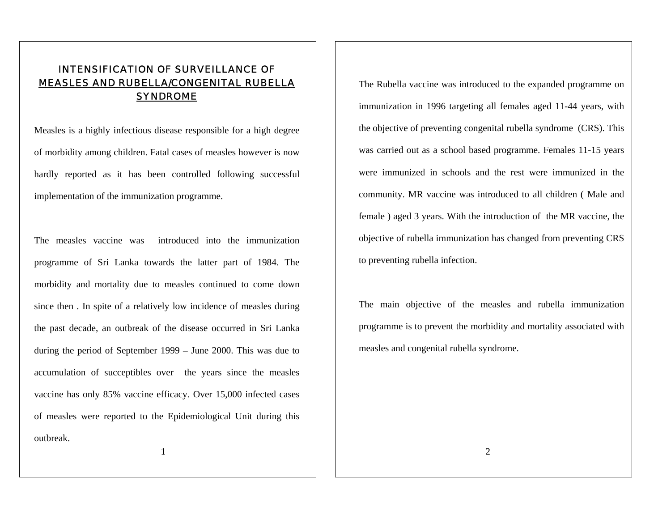### INTENSIFICATION OF SURVEILLANCE OF MEASLES AND RUBELLA/CONGENITAL RUBELLA SYNDROME

Measles is a highly infectious disease responsible for a high degree of morbidity among children. Fatal cases of measles however is now hardly reported as it has been controlled following successful implementation of the immunization programme.

The measles vaccine was introduced into the immunization programme of Sri Lanka towards the latter part of 1984. The morbidity and mortality due to measles continued to come down since then . In spite of a relatively low incidence of measles during the past decade, an outbreak of the disease occurred in Sri Lanka during the period of September 1999 – June 2000. This was due to accumulation of succeptibles over the years since the measles vaccine has only 85% vaccine efficacy. Over 15,000 infected cases of measles were reported to the Epidemiological Unit during this outbreak.

The Rubella vaccine was introduced to the expanded programme on immunization in 1996 targeting all females aged 11-44 years, with the objective of preventing congenital rubella syndrome (CRS). This was carried out as a school based programme. Females 11-15 years were immunized in schools and the rest were immunized in the community. MR vaccine was introduced to all children ( Male and female ) aged 3 years. With the introduction of the MR vaccine, the objective of rubella immunization has changed from preventing CRS to preventing rubella infection.

The main objective of the measles and rubella immunization programme is to prevent the morbidity and mortality associated with measles and congenital rubella syndrome.

<sup>1</sup>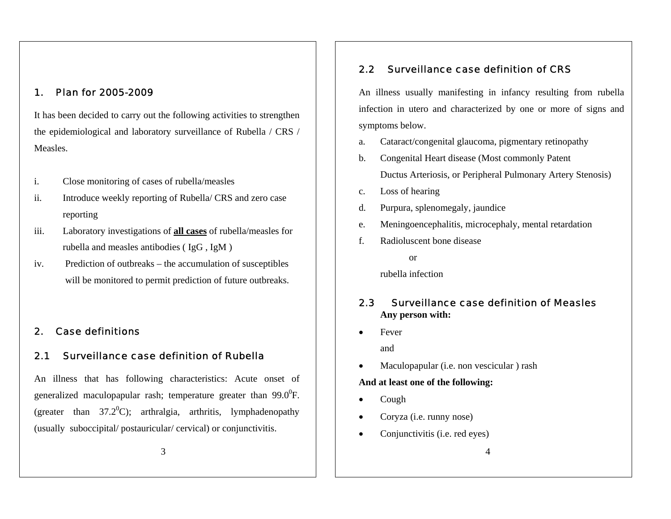### 1. Plan for 2005-2009

It has been decided to carry out the following activities to strengthen the epidemiological and laboratory surveillance of Rubella / CRS / Measles.

- i.Close monitoring of cases of rubella/measles
- ii. Introduce weekly reporting of Rubella/ CRS and zero case reporting
- iii. Laboratory investigations of **all cases** of rubella/measles for rubella and measles antibodies ( IgG , IgM )
- iv. Prediction of outbreaks the accumulation of susceptibles will be monitored to permit prediction of future outbreaks.

### 2. Case definitions

### 2.1 Surveillance case definition of Rubella

An illness that has following characteristics: Acute onset of generalized maculopapular rash; temperature greater than  $99.0^{\circ}$ F. (greater than  $37.2^{\circ}$ C); arthralgia, arthritis, lymphadenopathy (usually suboccipital/ postauricular/ cervical) or conjunctivitis.

### 2.2 Surveillance case definition of CRS

An illness usually manifesting in infancy resulting from rubella infection in utero and characterized by one or more of signs and symptoms below.

- a.Cataract/congenital glaucoma, pigmentary retinopathy
- b. Congenital Heart disease (Most commonly Patent Ductus Arteriosis, or Peripheral Pulmonary Artery Stenosis)
- c.Loss of hearing
- d.Purpura, splenomegaly, jaundice
- e.Meningoencephalitis, microcephaly, mental retardation
- f. Radioluscent bone disease
	- or

rubella infection

#### 2.3 Surveillance case definition of Measles  **Any person with:**

•Fever

and

•Maculopapular (i.e. non vescicular ) rash

### **And at least one of the following:**

- •Cough
- •Coryza (i.e. runny nose)
- •Conjunctivitis (i.e. red eyes)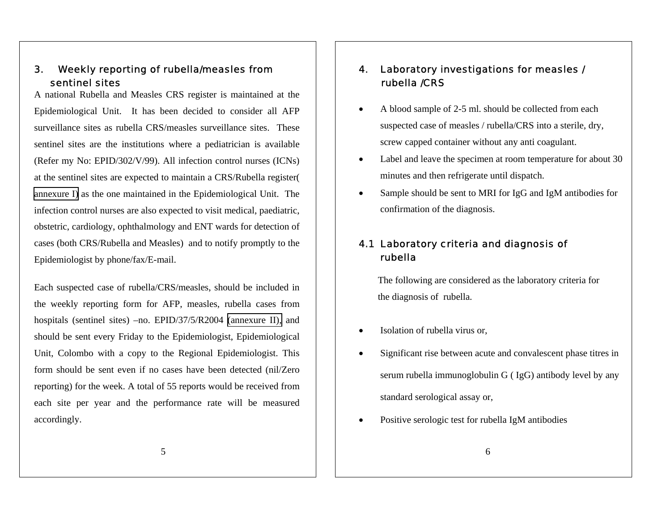#### 3. Weekly reporting of rubella/measles from sentinel sites

A national Rubella and Measles CRS register is maintained at the Epidemiological Unit. It has been decided to consider all AFP surveillance sites as rubella CRS/measles surveillance sites. These sentinel sites are the institutions where a pediatrician is available (Refer my No: EPID/302/V/99). All infection control nurses (ICNs) at the sentinel sites are expected to maintain a CRS/Rubella register( [annexure I\)](#page-1-0) as the one maintained in the Epidemiological Unit. The infection control nurses are also expected to visit medical, paediatric, obstetric, cardiology, ophthalmology and ENT wards for detection of cases (both CRS/Rubella and Measles) and to notify promptly to the Epidemiologist by phone/fax/E-mail.

Each suspected case of rubella/CRS/measles, should be included in the weekly reporting form for AFP, measles, rubella cases from hospitals (sentinel sites) –no. EPID/37/5/R2004 [\(annexure II\),](#page-1-0) and should be sent every Friday to the Epidemiologist, Epidemiological Unit, Colombo with a copy to the Regional Epidemiologist. This form should be sent even if no cases have been detected (nil/Zero reporting) for the week. A total of 55 reports would be received from each site per year and the performance rate will be measured accordingly.

#### 4. Laboratory investigations for measles / rubella /CRS

- • A blood sample of 2-5 ml. should be collected from each suspected case of measles / rubella/CRS into a sterile, dry, screw capped container without any anti coagulant.
- • Label and leave the specimen at room temperature for about 30 minutes and then refrigerate until dispatch.
- • Sample should be sent to MRI for IgG and IgM antibodies for confirmation of the diagnosis.

# 4.1 Laboratory criteria and diagnosis of rubella

 The following are considered as the laboratory criteria for the diagnosis of rubella.

- •Isolation of rubella virus or,
- • Significant rise between acute and convalescent phase titres in serum rubella immunoglobulin G ( IgG) antibody level by any standard serological assay or,
- •Positive serologic test for rubella IgM antibodies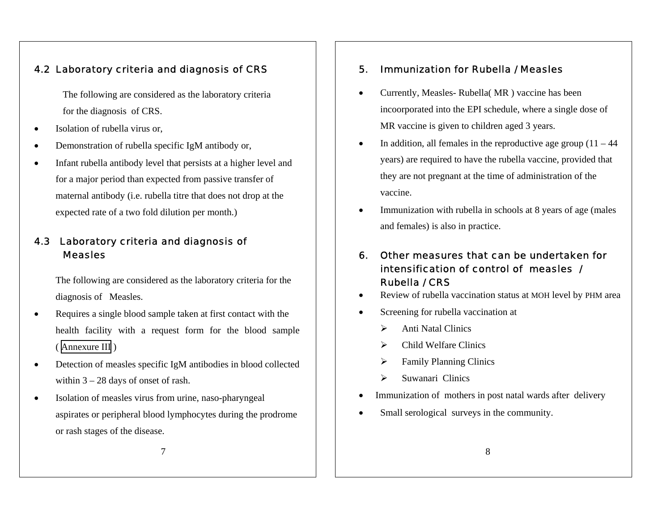### 4.2 Laboratory criteria and diagnosis of CRS

 The following are considered as the laboratory criteria for the diagnosis of CRS.

- •Isolation of rubella virus or,
- •Demonstration of rubella specific IgM antibody or,
- • Infant rubella antibody level that persists at a higher level and for a major period than expected from passive transfer of maternal antibody (i.e. rubella titre that does not drop at the expected rate of a two fold dilution per month.)

# 4.3 Laboratory criteria and diagnosis of **Measles**

The following are considered as the laboratory criteria for the diagnosis of Measles.

- • Requires a single blood sample taken at first contact with the health facility with a request form for the blood sample ( [Annexure III](#page-7-0) )
- • Detection of measles specific IgM antibodies in blood collected within 3 – 28 days of onset of rash.
- • Isolation of measles virus from urine, naso-pharyngeal aspirates or peripheral blood lymphocytes during the prodrome or rash stages of the disease.

#### 5.Immunization for Rubella / Measles

- • Currently, Measles- Rubella( MR ) vaccine has been incoorporated into the EPI schedule, where a single dose of MR vaccine is given to children aged 3 years.
- •In addition, all females in the reproductive age group  $(11 - 44)$ years) are required to have the rubella vaccine, provided that they are not pregnant at the time of administration of the vaccine.
- • Immunization with rubella in schools at 8 years of age (males and females) is also in practice.
- 6. Other measures that can be undertaken for intensification of control of measles / Rubella / CRS
- •Review of rubella vaccination status at MOH level by PHM area
- • Screening for rubella vaccination at
	- ¾Anti Natal Clinics
	- ¾Child Welfare Clinics
	- ¾Family Planning Clinics
	- ¾Suwanari Clinics
- Immunization of mothers in post natal wards after delivery
- •Small serological surveys in the community.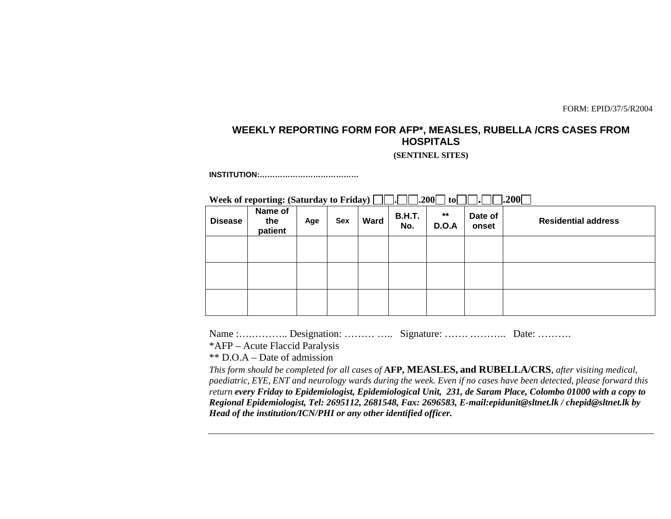FORM: EPID/37/5/R2004

# <span id="page-6-0"></span>**WEEKLY REPORTING FORM FOR AFP\*, MEASLES, RUBELLA /CRS CASES FROM HOSPITALS**

**(SENTINEL SITES)** 

**INSTITUTION:…………………………………** 

**Week of reporting: (Saturday to Friday) . .200 to . .200**

| <b>Disease</b> | $\sim$ $\sim$<br>Name of<br>the<br>patient | $\bullet$<br>Age | <b>Sex</b> | Ward | <b>B.H.T.</b><br>No. | $***$<br><b>D.O.A</b> | _____<br>Date of<br>onset | __<br><b>Residential address</b> |
|----------------|--------------------------------------------|------------------|------------|------|----------------------|-----------------------|---------------------------|----------------------------------|
|                |                                            |                  |            |      |                      |                       |                           |                                  |
|                |                                            |                  |            |      |                      |                       |                           |                                  |
|                |                                            |                  |            |      |                      |                       |                           |                                  |

Name :................. Designation: ……… …... Signature: …… ……… Date: ……….

\*AFP – Acute Flaccid Paralysis

\*\* D.O.A – Date of admission

*This form should be completed for all cases of* **AFP, MEASLES, and RUBELLA/CRS**, *after visiting medical, paediatric, EYE, ENT and neurology wards during the week. Even if no cases have been detected, please forward this return every Friday to Epidemiologist, Epidemiological Unit, 231, de Saram Place, Colombo 01000 with a copy to Regional Epidemiologist, Tel: 2695112, 2681548, Fax: 2696583, E-mail:epidunit@sltnet.lk / chepid@sltnet.lk by Head of the institution/ICN/PHI or any other identified officer.*